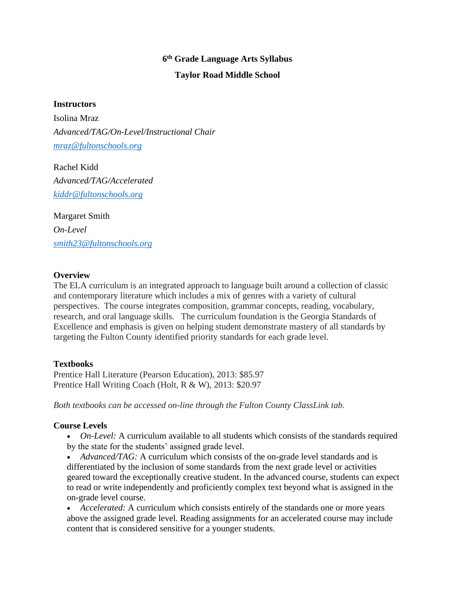# **6 th Grade Language Arts Syllabus Taylor Road Middle School**

#### **Instructors**

Isolina Mraz *Advanced/TAG/On-Level/Instructional Chair [mraz@fultonschools.org](mailto:mraz@fultonschools.org)*

Rachel Kidd *Advanced/TAG/Accelerated [kiddr@fultonschools.org](mailto:kiddr@fultonschools.org)*

Margaret Smith *On-Level [smith23@fultonschools.org](mailto:smith23@fultonschools.org)*

#### **Overview**

The ELA curriculum is an integrated approach to language built around a collection of classic and contemporary literature which includes a mix of genres with a variety of cultural perspectives. The course integrates composition, grammar concepts, reading, vocabulary, research, and oral language skills. The curriculum foundation is the Georgia Standards of Excellence and emphasis is given on helping student demonstrate mastery of all standards by targeting the Fulton County identified priority standards for each grade level.

#### **Textbooks**

Prentice Hall Literature (Pearson Education), 2013: \$85.97 Prentice Hall Writing Coach (Holt, R & W), 2013: \$20.97

*Both textbooks can be accessed on-line through the Fulton County ClassLink tab.*

#### **Course Levels**

- *On-Level:* A curriculum available to all students which consists of the standards required by the state for the students' assigned grade level.
- *Advanced/TAG:* A curriculum which consists of the on-grade level standards and is differentiated by the inclusion of some standards from the next grade level or activities geared toward the exceptionally creative student. In the advanced course, students can expect to read or write independently and proficiently complex text beyond what is assigned in the on-grade level course.

• *Accelerated:* A curriculum which consists entirely of the standards one or more years above the assigned grade level. Reading assignments for an accelerated course may include content that is considered sensitive for a younger students.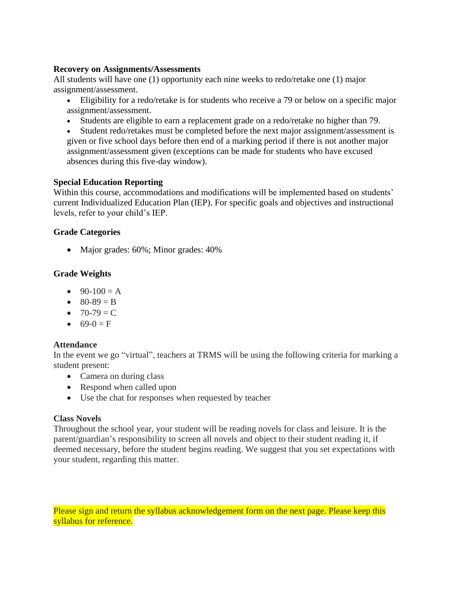#### **Recovery on Assignments/Assessments**

All students will have one (1) opportunity each nine weeks to redo/retake one (1) major assignment/assessment.

- Eligibility for a redo/retake is for students who receive a 79 or below on a specific major assignment/assessment.
- Students are eligible to earn a replacement grade on a redo/retake no higher than 79.

• Student redo/retakes must be completed before the next major assignment/assessment is given or five school days before then end of a marking period if there is not another major assignment/assessment given (exceptions can be made for students who have excused absences during this five-day window).

## **Special Education Reporting**

Within this course, accommodations and modifications will be implemented based on students' current Individualized Education Plan (IEP). For specific goals and objectives and instructional levels, refer to your child's IEP.

## **Grade Categories**

• Major grades: 60%; Minor grades: 40%

## **Grade Weights**

- $90-100 = A$
- $80-89 = B$
- $70-79 = C$
- $69-0 = F$

## **Attendance**

In the event we go "virtual", teachers at TRMS will be using the following criteria for marking a student present:

- Camera on during class
- Respond when called upon
- Use the chat for responses when requested by teacher

## **Class Novels**

Throughout the school year, your student will be reading novels for class and leisure. It is the parent/guardian's responsibility to screen all novels and object to their student reading it, if deemed necessary, before the student begins reading. We suggest that you set expectations with your student, regarding this matter.